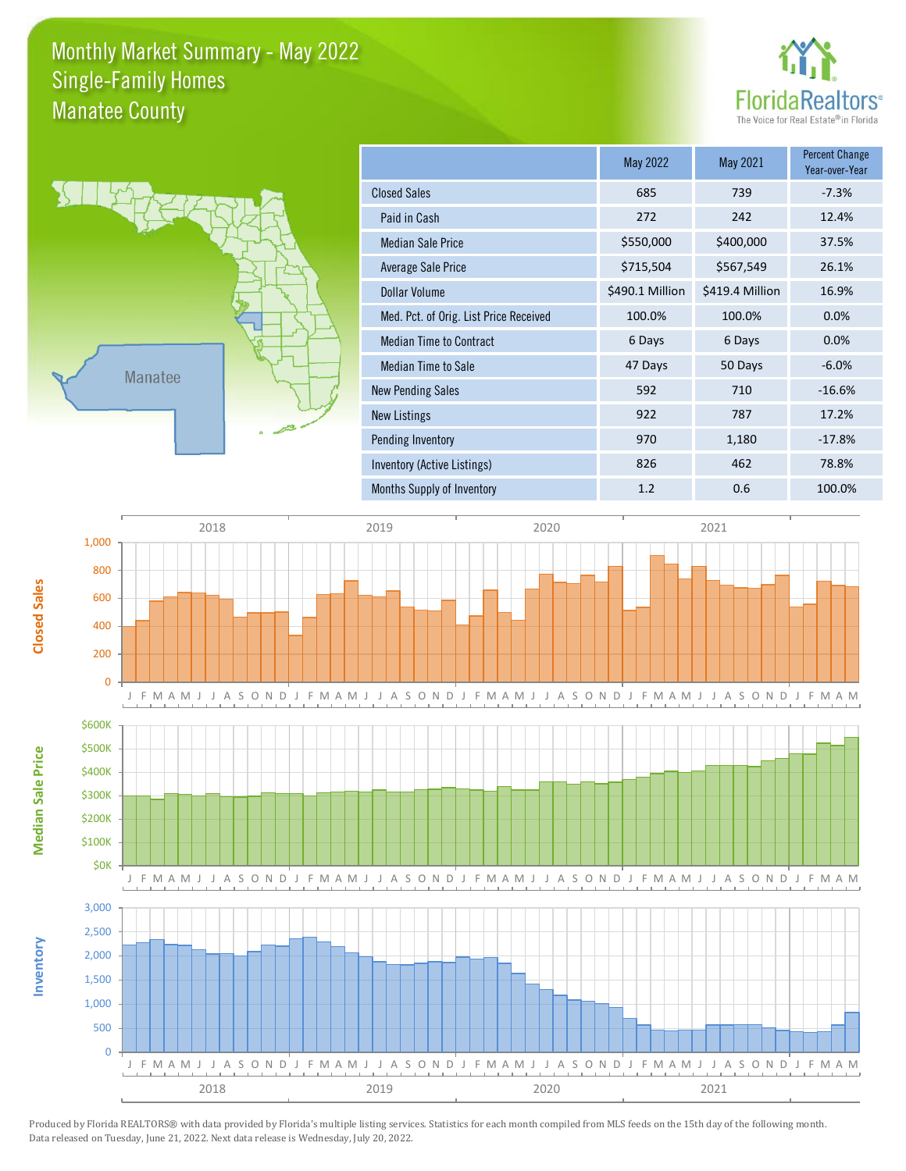## Monthly Market Summary - May 2022 Manatee County Single-Family Homes





**Inventory**

**Median Sale Price**

**Median Sale Price** 

**Closed Sales**

|                                        | May 2022        | May 2021        | <b>Percent Change</b><br>Year-over-Year |
|----------------------------------------|-----------------|-----------------|-----------------------------------------|
| <b>Closed Sales</b>                    | 685             | 739             | $-7.3%$                                 |
| Paid in Cash                           | 272             | 242             | 12.4%                                   |
| <b>Median Sale Price</b>               | \$550,000       | \$400,000       | 37.5%                                   |
| Average Sale Price                     | \$715,504       | \$567,549       | 26.1%                                   |
| Dollar Volume                          | \$490.1 Million | \$419.4 Million | 16.9%                                   |
| Med. Pct. of Orig. List Price Received | 100.0%          | 100.0%          | 0.0%                                    |
| <b>Median Time to Contract</b>         | 6 Days          | 6 Days          | 0.0%                                    |
| Median Time to Sale                    | 47 Days         | 50 Days         | $-6.0%$                                 |
| <b>New Pending Sales</b>               | 592             | 710             | $-16.6%$                                |
| New Listings                           | 922             | 787             | 17.2%                                   |
| Pending Inventory                      | 970             | 1,180           | $-17.8%$                                |
| Inventory (Active Listings)            | 826             | 462             | 78.8%                                   |
| Months Supply of Inventory             | 1.2             | 0.6             | 100.0%                                  |



Produced by Florida REALTORS® with data provided by Florida's multiple listing services. Statistics for each month compiled from MLS feeds on the 15th day of the following month. Data released on Tuesday, June 21, 2022. Next data release is Wednesday, July 20, 2022.